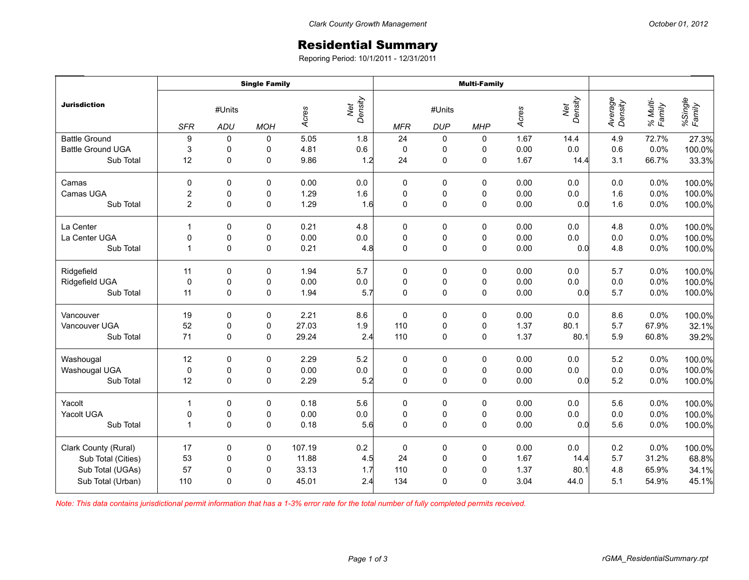## Residential Summary

Reporing Period: 10/1/2011 - 12/31/2011

| <b>Jurisdiction</b>      | <b>Single Family</b>                      |              |   |        |                | <b>Multi-Family</b>                              |             |             |       |                |                    |                    |                   |
|--------------------------|-------------------------------------------|--------------|---|--------|----------------|--------------------------------------------------|-------------|-------------|-------|----------------|--------------------|--------------------|-------------------|
|                          | #Units<br><b>SFR</b><br>ADU<br><b>MOH</b> |              |   | Acres  | Net<br>Density | #Units<br><b>DUP</b><br><b>MHP</b><br><b>MFR</b> |             |             | Acres | Density<br>Net | Average<br>Density | % Multi-<br>Family | %Single<br>Family |
| <b>Battle Ground</b>     | 9                                         | 0            | 0 | 5.05   | 1.8            | 24                                               | 0           | 0           | 1.67  | 14.4           | 4.9                | 72.7%              | 27.3%             |
| <b>Battle Ground UGA</b> | 3                                         | 0            | 0 | 4.81   | 0.6            | $\pmb{0}$                                        | 0           | 0           | 0.00  | 0.0            | 0.6                | 0.0%               | 100.0%            |
| Sub Total                | 12                                        | 0            | 0 | 9.86   | 1.2            | 24                                               | $\pmb{0}$   | $\pmb{0}$   | 1.67  | 14.4           | 3.1                | 66.7%              | 33.3%             |
| Camas                    | 0                                         | 0            | 0 | 0.00   | 0.0            | 0                                                | 0           | 0           | 0.00  | 0.0            | $0.0\,$            | 0.0%               | 100.0%            |
| Camas UGA                | $\overline{c}$                            | $\pmb{0}$    | 0 | 1.29   | 1.6            | $\pmb{0}$                                        | $\pmb{0}$   | $\pmb{0}$   | 0.00  | 0.0            | 1.6                | 0.0%               | 100.0%            |
| Sub Total                | $\overline{c}$                            | 0            | 0 | 1.29   | 1.6            | $\mathbf 0$                                      | $\pmb{0}$   | $\pmb{0}$   | 0.00  | 0.0            | 1.6                | 0.0%               | 100.0%            |
| La Center                | 1                                         | $\Omega$     | 0 | 0.21   | 4.8            | 0                                                | 0           | 0           | 0.00  | 0.0            | 4.8                | 0.0%               | 100.0%            |
| La Center UGA            | 0                                         | $\mathbf 0$  | 0 | 0.00   | $0.0\,$        | $\pmb{0}$                                        | 0           | $\pmb{0}$   | 0.00  | 0.0            | 0.0                | 0.0%               | 100.0%            |
| Sub Total                | $\mathbf{1}$                              | 0            | 0 | 0.21   | 4.8            | $\mathbf 0$                                      | $\mathsf 0$ | $\pmb{0}$   | 0.00  | 0.0            | 4.8                | 0.0%               | 100.0%            |
| Ridgefield               | 11                                        | 0            | 0 | 1.94   | 5.7            | 0                                                | 0           | 0           | 0.00  | 0.0            | 5.7                | 0.0%               | 100.0%            |
| Ridgefield UGA           | $\mathbf 0$                               | $\pmb{0}$    | 0 | 0.00   | $0.0\,$        | $\pmb{0}$                                        | $\pmb{0}$   | $\pmb{0}$   | 0.00  | 0.0            | $0.0\,$            | 0.0%               | 100.0%            |
| Sub Total                | 11                                        | 0            | 0 | 1.94   | 5.7            | $\mathbf 0$                                      | $\pmb{0}$   | $\mathbf 0$ | 0.00  | 0.0            | 5.7                | 0.0%               | 100.0%            |
| Vancouver                | 19                                        | $\Omega$     | 0 | 2.21   | 8.6            | $\pmb{0}$                                        | 0           | 0           | 0.00  | 0.0            | 8.6                | 0.0%               | 100.0%            |
| Vancouver UGA            | 52                                        | $\pmb{0}$    | 0 | 27.03  | 1.9            | 110                                              | $\pmb{0}$   | $\pmb{0}$   | 1.37  | 80.1           | 5.7                | 67.9%              | 32.1%             |
| Sub Total                | 71                                        | 0            | 0 | 29.24  | 2.4            | 110                                              | $\pmb{0}$   | $\pmb{0}$   | 1.37  | 80.1           | 5.9                | 60.8%              | 39.2%             |
| Washougal                | 12                                        | 0            | 0 | 2.29   | 5.2            | $\pmb{0}$                                        | $\pmb{0}$   | $\pmb{0}$   | 0.00  | 0.0            | 5.2                | 0.0%               | 100.0%            |
| Washougal UGA            | $\pmb{0}$                                 | $\pmb{0}$    | 0 | 0.00   | $0.0\,$        | $\pmb{0}$                                        | $\pmb{0}$   | $\pmb{0}$   | 0.00  | 0.0            | $0.0\,$            | 0.0%               | 100.0%            |
| Sub Total                | 12                                        | 0            | 0 | 2.29   | 5.2            | $\mathbf 0$                                      | $\pmb{0}$   | $\mathbf 0$ | 0.00  | 0.0            | 5.2                | 0.0%               | 100.0%            |
| Yacolt                   | $\mathbf{1}$                              | 0            | 0 | 0.18   | 5.6            | 0                                                | 0           | 0           | 0.00  | 0.0            | 5.6                | 0.0%               | 100.0%            |
| Yacolt UGA               | 0                                         | $\pmb{0}$    | 0 | 0.00   | $0.0\,$        | $\pmb{0}$                                        | $\pmb{0}$   | $\pmb{0}$   | 0.00  | 0.0            | $0.0\,$            | 0.0%               | 100.0%            |
| Sub Total                | $\mathbf{1}$                              | $\mathbf 0$  | 0 | 0.18   | 5.6            | $\mathbf 0$                                      | $\mathsf 0$ | $\pmb{0}$   | 0.00  | 0.0            | 5.6                | 0.0%               | 100.0%            |
| Clark County (Rural)     | 17                                        | 0            | 0 | 107.19 | $0.2\,$        | $\pmb{0}$                                        | $\pmb{0}$   | $\pmb{0}$   | 0.00  | 0.0            | 0.2                | 0.0%               | 100.0%            |
| Sub Total (Cities)       | 53                                        | $\mathbf 0$  | 0 | 11.88  | 4.5            | 24                                               | $\mathbf 0$ | $\pmb{0}$   | 1.67  | 14.4           | 5.7                | 31.2%              | 68.8%             |
| Sub Total (UGAs)         | 57                                        | 0            | 0 | 33.13  | 1.7            | 110                                              | $\mathbf 0$ | $\mathbf 0$ | 1.37  | 80.1           | 4.8                | 65.9%              | 34.1%             |
| Sub Total (Urban)        | 110                                       | $\mathbf{0}$ | 0 | 45.01  | 2.4            | 134                                              | 0           | 0           | 3.04  | 44.0           | 5.1                | 54.9%              | 45.1%             |

*Note: This data contains jurisdictional permit information that has a 1-3% error rate for the total number of fully completed permits received.*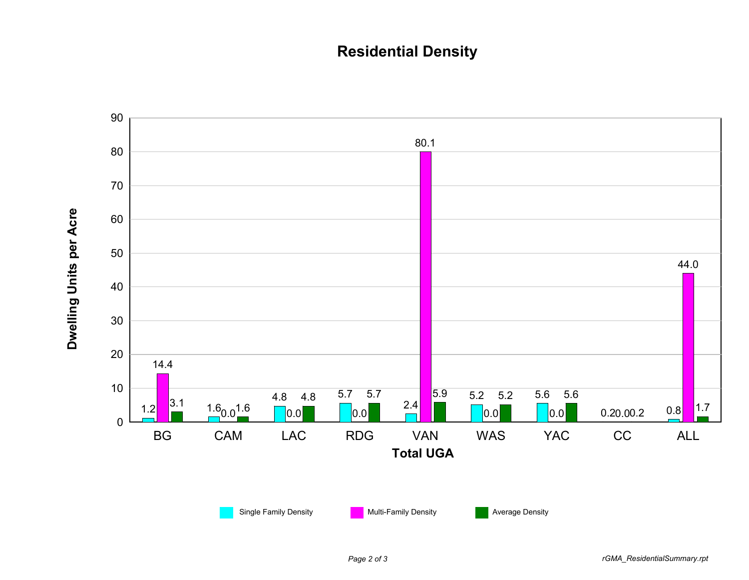## **Residential Density**